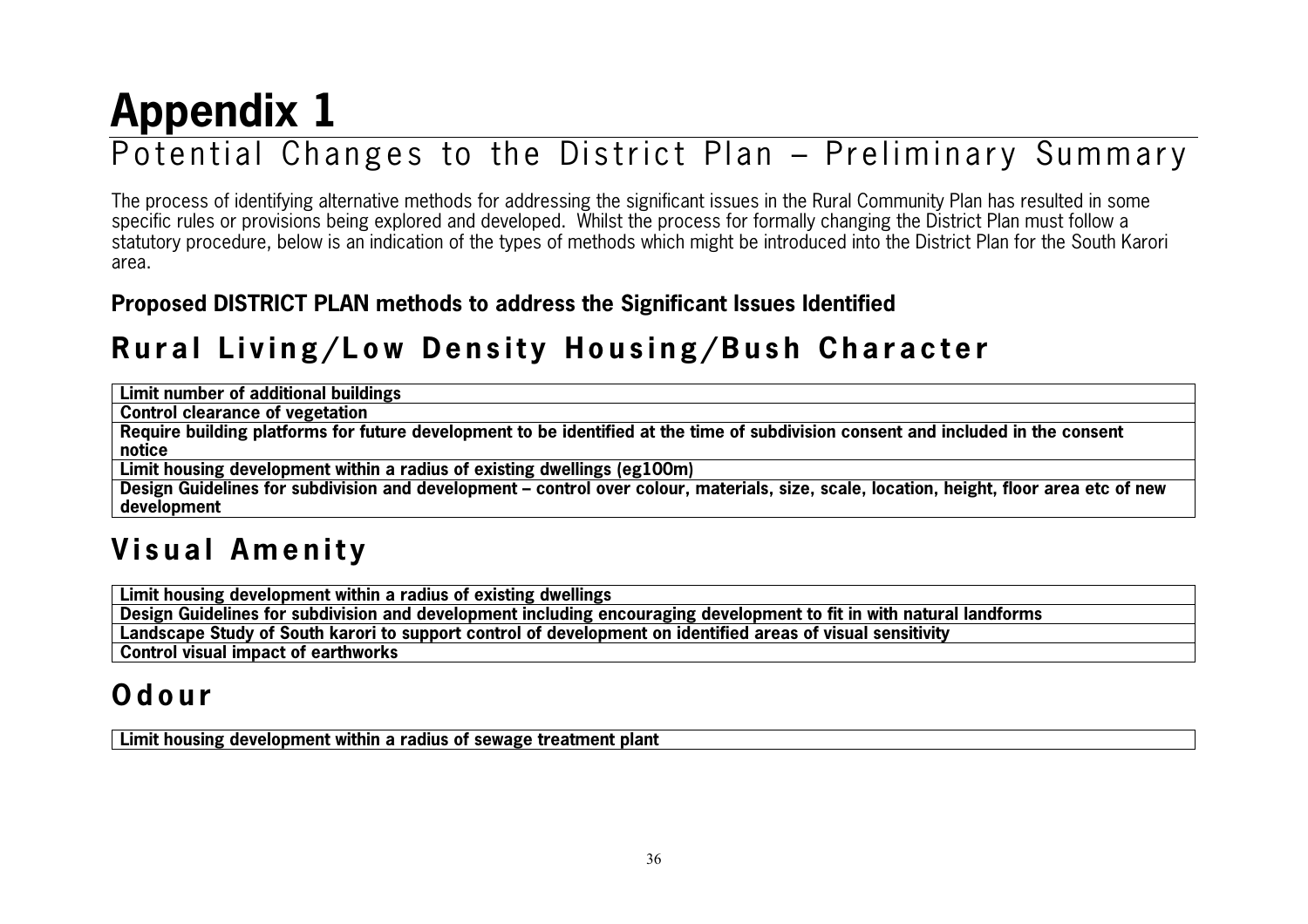# **Appendix 1**

## Potential Changes to the District Plan – Preliminary Summary

The process of identifying alternative methods for addressing the significant issues in the Rural Community Plan has resulted in some specific rules or provisions being explored and developed. Whilst the process for formally changing the District Plan must follow a statutory procedure, below is an indication of the types of methods which might be introduced into the District Plan for the South Karori area.

#### **Proposed DISTRICT PLAN methods to address the Significant Issues Identified**

#### **Rural Living/Low Density Housing/Bush Character**

| <b>Limit number of additional buildings</b>                                                                                              |
|------------------------------------------------------------------------------------------------------------------------------------------|
| Control clearance of vegetation                                                                                                          |
| Require building platforms for future development to be identified at the time of subdivision consent and included in the consent        |
| notice                                                                                                                                   |
| Limit housing development within a radius of existing dwellings (eg100m)                                                                 |
| Design Guidelines for subdivision and development – control over colour, materials, size, scale, location, height, floor area etc of new |

**development**

#### **Visual Amenity**

**Limit housing development within a radius of existing dwellings**

**Design Guidelines for subdivision and development including encouraging development to fit in with natural landforms**

**Landscape Study of South karori to support control of development on identified areas of visual sensitivity**

**Control visual impact of earthworks**

#### **O d o u r**

**Limit housing development within a radius of sewage treatment plant**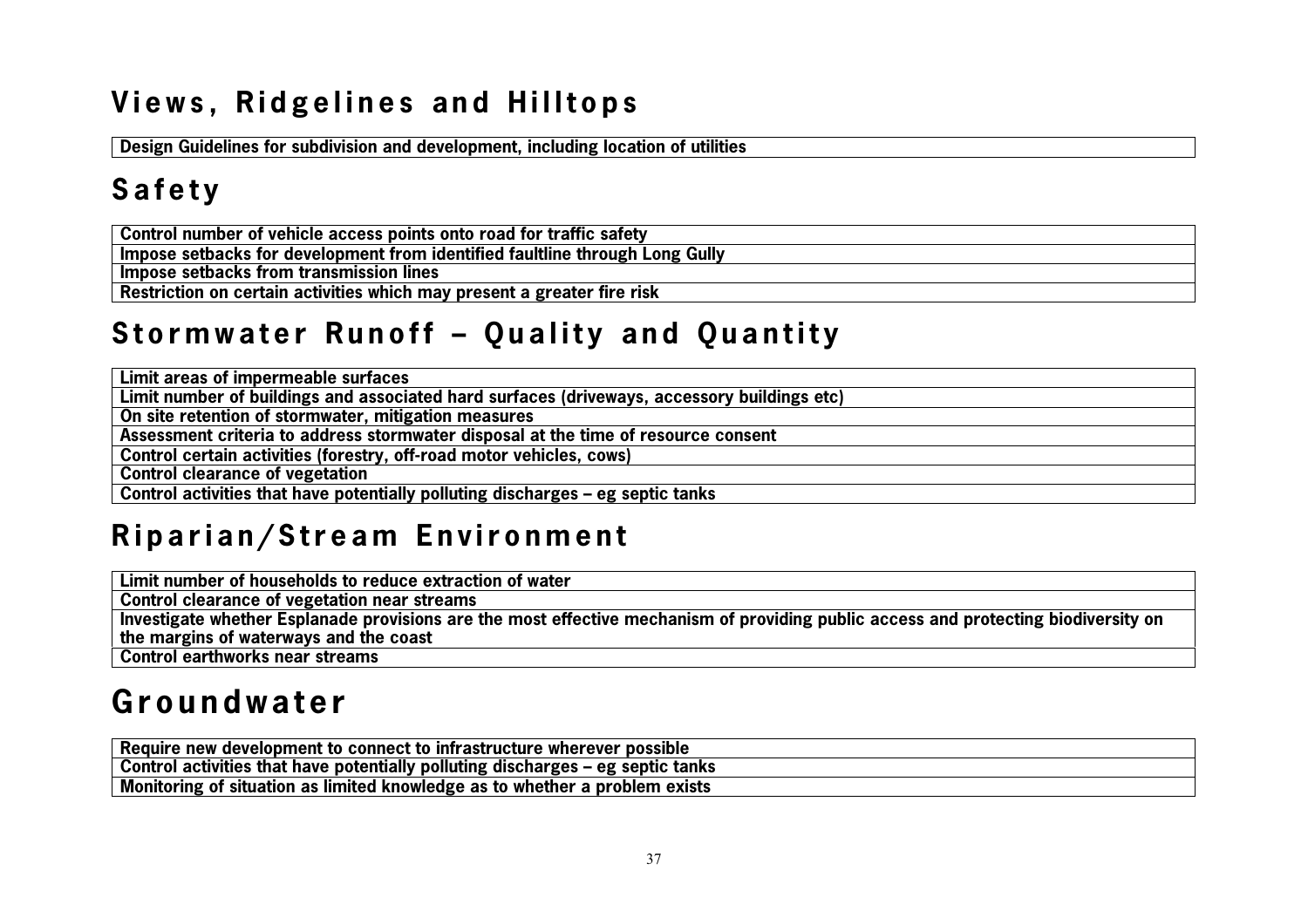### **Views, Ridgelines and Hilltops**

**Design Guidelines for subdivision and development, including location of utilities**

### **S a f e t y**

**Control number of vehicle access points onto road for traffic safety**

**Impose setbacks for development from identified faultline through Long Gully**

**Impose setbacks from transmission lines**

**Restriction on certain activities which may present a greater fire risk**

#### **Stormwater Runoff - Quality and Quantity**

**Limit areas of impermeable surfaces**

**Limit number of buildings and associated hard surfaces (driveways, accessory buildings etc)**

**On site retention of stormwater, mitigation measures**

**Assessment criteria to address stormwater disposal at the time of resource consent**

**Control certain activities (forestry, off-road motor vehicles, cows)**

**Control clearance of vegetation**

**Control activities that have potentially polluting discharges – eg septic tanks**

#### Riparian/Stream Environment

**Limit number of households to reduce extraction of water**

**Control clearance of vegetation near streams**

**Investigate whether Esplanade provisions are the most effective mechanism of providing public access and protecting biodiversity on the margins of waterways and the coast**

**Control earthworks near streams**

#### **G r o u n d w a t e r**

| Require new development to connect to infrastructure wherever possible          |
|---------------------------------------------------------------------------------|
| Control activities that have potentially polluting discharges – eg septic tanks |
| Monitoring of situation as limited knowledge as to whether a problem exists     |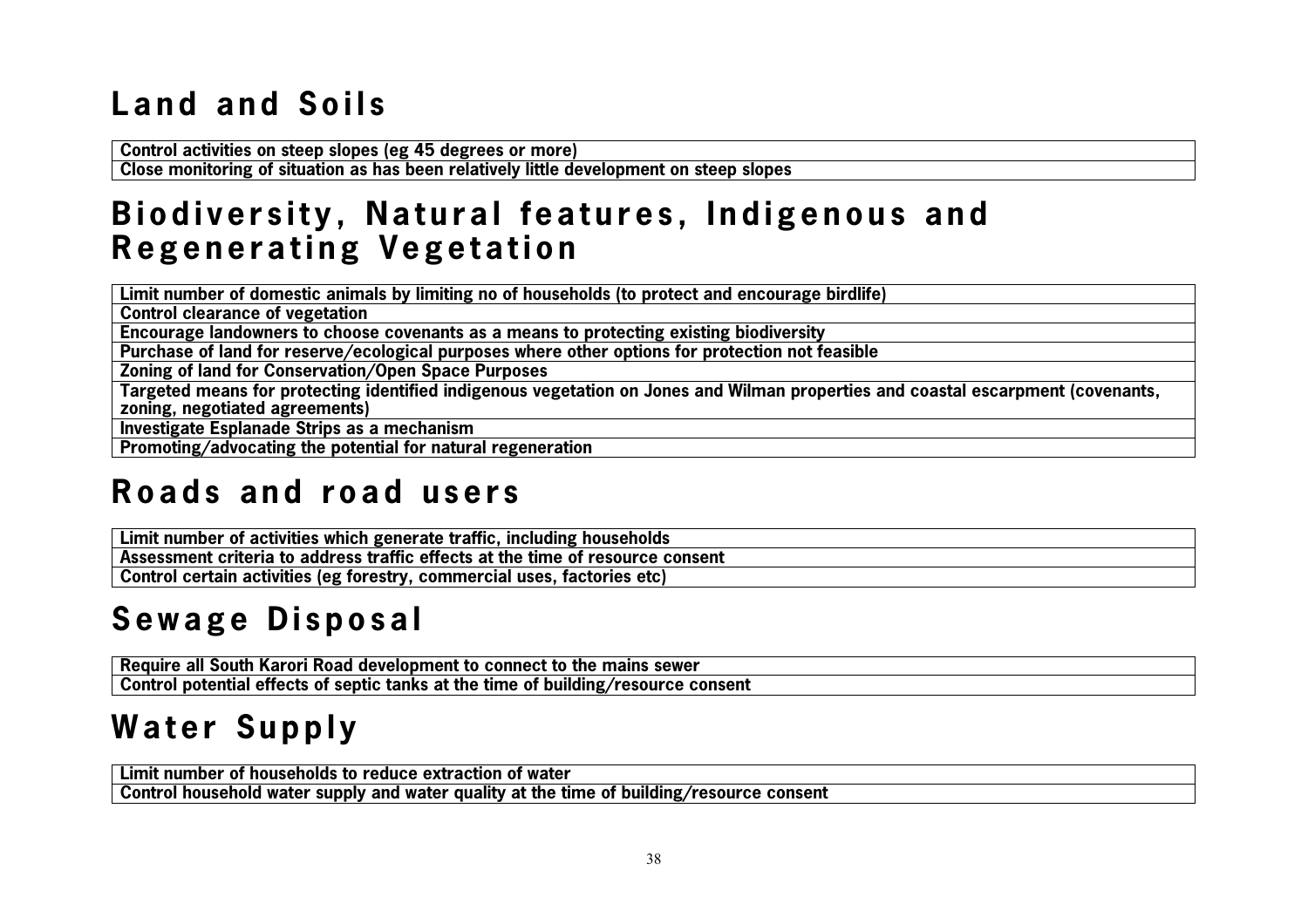## L and and Soils

**Control activities on steep slopes (eg 45 degrees or more)**

**Close monitoring of situation as has been relatively little development on steep slopes**

#### **Biodiversity, Natural features, Indigenous and Regenerating Vegetation**

**Limit number of domestic animals by limiting no of households (to protect and encourage birdlife)**

**Control clearance of vegetation**

**Encourage landowners to choose covenants as a means to protecting existing biodiversity**

**Purchase of land for reserve/ecological purposes where other options for protection not feasible**

**Zoning of land for Conservation/Open Space Purposes**

**Targeted means for protecting identified indigenous vegetation on Jones and Wilman properties and coastal escarpment (covenants, zoning, negotiated agreements)**

**Investigate Esplanade Strips as a mechanism**

**Promoting/advocating the potential for natural regeneration**

#### **R o a d s a n d r o a d u s e r s**

**Limit number of activities which generate traffic, including households Assessment criteria to address traffic effects at the time of resource consent Control certain activities (eg forestry, commercial uses, factories etc)**

## Sewage Disposal

**Require all South Karori Road development to connect to the mains sewer Control potential effects of septic tanks at the time of building/resource consent**

## **Water Supply**

**Limit number of households to reduce extraction of waterControl household water supply and water quality at the time of building/resource consent**